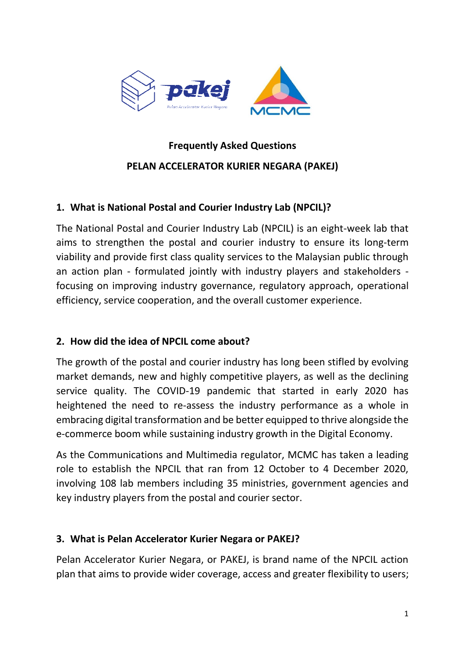

# **Frequently Asked Questions PELAN ACCELERATOR KURIER NEGARA (PAKEJ)**

# **1. What is National Postal and Courier Industry Lab (NPCIL)?**

The National Postal and Courier Industry Lab (NPCIL) is an eight-week lab that aims to strengthen the postal and courier industry to ensure its long-term viability and provide first class quality services to the Malaysian public through an action plan - formulated jointly with industry players and stakeholders focusing on improving industry governance, regulatory approach, operational efficiency, service cooperation, and the overall customer experience.

# **2. How did the idea of NPCIL come about?**

The growth of the postal and courier industry has long been stifled by evolving market demands, new and highly competitive players, as well as the declining service quality. The COVID-19 pandemic that started in early 2020 has heightened the need to re-assess the industry performance as a whole in embracing digital transformation and be better equipped to thrive alongside the e-commerce boom while sustaining industry growth in the Digital Economy.

As the Communications and Multimedia regulator, MCMC has taken a leading role to establish the NPCIL that ran from 12 October to 4 December 2020, involving 108 lab members including 35 ministries, government agencies and key industry players from the postal and courier sector.

# **3. What is Pelan Accelerator Kurier Negara or PAKEJ?**

Pelan Accelerator Kurier Negara, or PAKEJ, is brand name of the NPCIL action plan that aims to provide wider coverage, access and greater flexibility to users;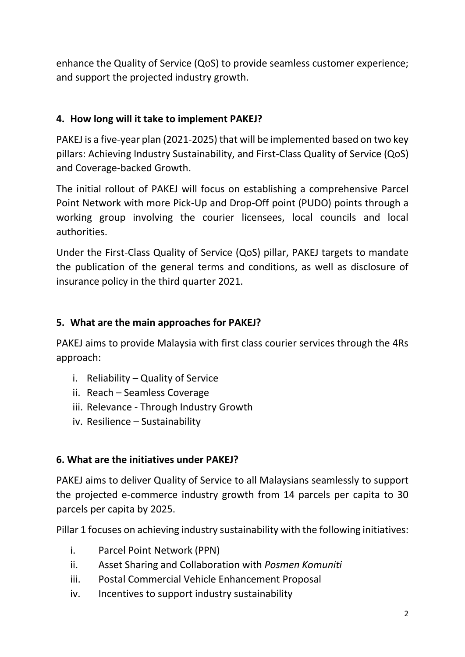enhance the Quality of Service (QoS) to provide seamless customer experience; and support the projected industry growth.

# **4. How long will it take to implement PAKEJ?**

PAKEJ is a five-year plan (2021-2025) that will be implemented based on two key pillars: Achieving Industry Sustainability, and First-Class Quality of Service (QoS) and Coverage-backed Growth.

The initial rollout of PAKEJ will focus on establishing a comprehensive Parcel Point Network with more Pick-Up and Drop-Off point (PUDO) points through a working group involving the courier licensees, local councils and local authorities.

Under the First-Class Quality of Service (QoS) pillar, PAKEJ targets to mandate the publication of the general terms and conditions, as well as disclosure of insurance policy in the third quarter 2021.

# **5. What are the main approaches for PAKEJ?**

PAKEJ aims to provide Malaysia with first class courier services through the 4Rs approach:

- i. Reliability Quality of Service
- ii. Reach Seamless Coverage
- iii. Relevance Through Industry Growth
- iv. Resilience Sustainability

# **6. What are the initiatives under PAKEJ?**

PAKEJ aims to deliver Quality of Service to all Malaysians seamlessly to support the projected e-commerce industry growth from 14 parcels per capita to 30 parcels per capita by 2025.

Pillar 1 focuses on achieving industry sustainability with the following initiatives:

- i. Parcel Point Network (PPN)
- ii. Asset Sharing and Collaboration with *Posmen Komuniti*
- iii. Postal Commercial Vehicle Enhancement Proposal
- iv. Incentives to support industry sustainability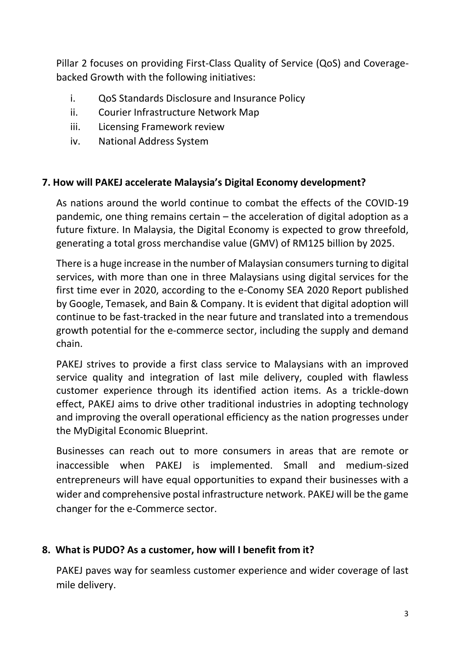Pillar 2 focuses on providing First-Class Quality of Service (QoS) and Coveragebacked Growth with the following initiatives:

- i. QoS Standards Disclosure and Insurance Policy
- ii. Courier Infrastructure Network Map
- iii. Licensing Framework review
- iv. National Address System

#### **7. How will PAKEJ accelerate Malaysia's Digital Economy development?**

As nations around the world continue to combat the effects of the COVID-19 pandemic, one thing remains certain – the acceleration of digital adoption as a future fixture. In Malaysia, the Digital Economy is expected to grow threefold, generating a total gross merchandise value (GMV) of RM125 billion by 2025.

There is a huge increase in the number of Malaysian consumers turning to digital services, with more than one in three Malaysians using digital services for the first time ever in 2020, according to the e-Conomy SEA 2020 Report published by Google, Temasek, and Bain & Company. It is evident that digital adoption will continue to be fast-tracked in the near future and translated into a tremendous growth potential for the e-commerce sector, including the supply and demand chain.

PAKEJ strives to provide a first class service to Malaysians with an improved service quality and integration of last mile delivery, coupled with flawless customer experience through its identified action items. As a trickle-down effect, PAKEJ aims to drive other traditional industries in adopting technology and improving the overall operational efficiency as the nation progresses under the MyDigital Economic Blueprint.

Businesses can reach out to more consumers in areas that are remote or inaccessible when PAKEJ is implemented. Small and medium-sized entrepreneurs will have equal opportunities to expand their businesses with a wider and comprehensive postal infrastructure network. PAKEJ will be the game changer for the e-Commerce sector.

# **8. What is PUDO? As a customer, how will I benefit from it?**

PAKEJ paves way for seamless customer experience and wider coverage of last mile delivery.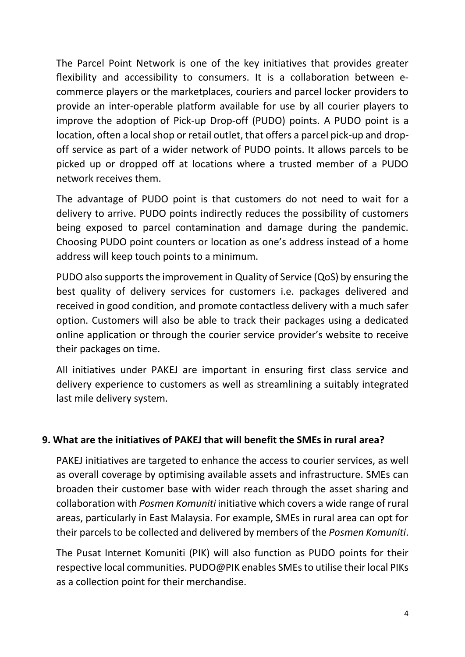The Parcel Point Network is one of the key initiatives that provides greater flexibility and accessibility to consumers. It is a collaboration between ecommerce players or the marketplaces, couriers and parcel locker providers to provide an inter-operable platform available for use by all courier players to improve the adoption of Pick-up Drop-off (PUDO) points. A PUDO point is a location, often a local shop or retail outlet, that offers a parcel pick-up and dropoff service as part of a wider network of PUDO points. It allows parcels to be picked up or dropped off at locations where a trusted member of a PUDO network receives them.

The advantage of PUDO point is that customers do not need to wait for a delivery to arrive. PUDO points indirectly reduces the possibility of customers being exposed to parcel contamination and damage during the pandemic. Choosing PUDO point counters or location as one's address instead of a home address will keep touch points to a minimum.

PUDO also supports the improvement in Quality of Service (QoS) by ensuring the best quality of delivery services for customers i.e. packages delivered and received in good condition, and promote contactless delivery with a much safer option. Customers will also be able to track their packages using a dedicated online application or through the courier service provider's website to receive their packages on time.

All initiatives under PAKEJ are important in ensuring first class service and delivery experience to customers as well as streamlining a suitably integrated last mile delivery system.

# **9. What are the initiatives of PAKEJ that will benefit the SMEs in rural area?**

PAKEJ initiatives are targeted to enhance the access to courier services, as well as overall coverage by optimising available assets and infrastructure. SMEs can broaden their customer base with wider reach through the asset sharing and collaboration with *Posmen Komuniti* initiative which covers a wide range of rural areas, particularly in East Malaysia. For example, SMEs in rural area can opt for their parcels to be collected and delivered by members of the *Posmen Komuniti*.

The Pusat Internet Komuniti (PIK) will also function as PUDO points for their respective local communities. PUDO@PIK enables SMEs to utilise their local PIKs as a collection point for their merchandise.